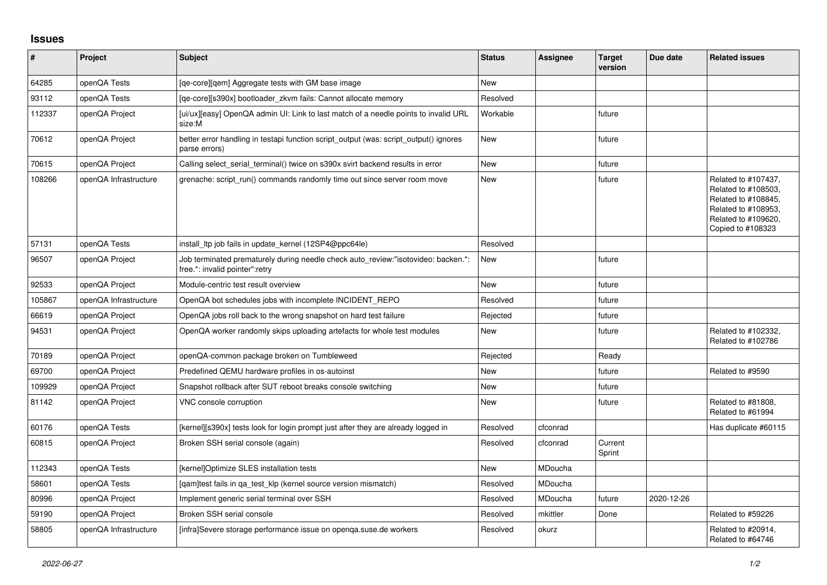## **Issues**

| #      | Project               | <b>Subject</b>                                                                                                       | <b>Status</b> | Assignee | <b>Target</b><br>version | Due date   | <b>Related issues</b>                                                                                                                |
|--------|-----------------------|----------------------------------------------------------------------------------------------------------------------|---------------|----------|--------------------------|------------|--------------------------------------------------------------------------------------------------------------------------------------|
| 64285  | openQA Tests          | [ge-core][gem] Aggregate tests with GM base image                                                                    | <b>New</b>    |          |                          |            |                                                                                                                                      |
| 93112  | openQA Tests          | [ge-core][s390x] bootloader zkvm fails: Cannot allocate memory                                                       | Resolved      |          |                          |            |                                                                                                                                      |
| 112337 | openQA Project        | [ui/ux][easy] OpenQA admin UI: Link to last match of a needle points to invalid URL<br>size:M                        | Workable      |          | future                   |            |                                                                                                                                      |
| 70612  | openQA Project        | better error handling in testapi function script_output (was: script_output() ignores<br>parse errors)               | New           |          | future                   |            |                                                                                                                                      |
| 70615  | openQA Project        | Calling select serial terminal() twice on s390x svirt backend results in error                                       | New           |          | future                   |            |                                                                                                                                      |
| 108266 | openQA Infrastructure | grenache: script_run() commands randomly time out since server room move                                             | <b>New</b>    |          | future                   |            | Related to #107437,<br>Related to #108503,<br>Related to #108845,<br>Related to #108953,<br>Related to #109620,<br>Copied to #108323 |
| 57131  | openQA Tests          | install Itp job fails in update kernel (12SP4@ppc64le)                                                               | Resolved      |          |                          |            |                                                                                                                                      |
| 96507  | openQA Project        | Job terminated prematurely during needle check auto review:"isotovideo: backen.*:<br>free.*: invalid pointer": retry | <b>New</b>    |          | future                   |            |                                                                                                                                      |
| 92533  | openQA Project        | Module-centric test result overview                                                                                  | <b>New</b>    |          | future                   |            |                                                                                                                                      |
| 105867 | openQA Infrastructure | OpenQA bot schedules jobs with incomplete INCIDENT_REPO                                                              | Resolved      |          | future                   |            |                                                                                                                                      |
| 66619  | openQA Project        | OpenQA jobs roll back to the wrong snapshot on hard test failure                                                     | Rejected      |          | future                   |            |                                                                                                                                      |
| 94531  | openQA Project        | OpenQA worker randomly skips uploading artefacts for whole test modules                                              | <b>New</b>    |          | future                   |            | Related to #102332,<br>Related to #102786                                                                                            |
| 70189  | openQA Project        | openQA-common package broken on Tumbleweed                                                                           | Rejected      |          | Ready                    |            |                                                                                                                                      |
| 69700  | openQA Project        | Predefined QEMU hardware profiles in os-autoinst                                                                     | New           |          | future                   |            | Related to #9590                                                                                                                     |
| 109929 | openQA Project        | Snapshot rollback after SUT reboot breaks console switching                                                          | New           |          | future                   |            |                                                                                                                                      |
| 81142  | openQA Project        | VNC console corruption                                                                                               | <b>New</b>    |          | future                   |            | Related to #81808,<br>Related to #61994                                                                                              |
| 60176  | openQA Tests          | [kernel][s390x] tests look for login prompt just after they are already logged in                                    | Resolved      | cfconrad |                          |            | Has duplicate #60115                                                                                                                 |
| 60815  | openQA Project        | Broken SSH serial console (again)                                                                                    | Resolved      | cfconrad | Current<br>Sprint        |            |                                                                                                                                      |
| 112343 | openQA Tests          | [kernel]Optimize SLES installation tests                                                                             | <b>New</b>    | MDoucha  |                          |            |                                                                                                                                      |
| 58601  | openQA Tests          | [gam]test fails in ga test klp (kernel source version mismatch)                                                      | Resolved      | MDoucha  |                          |            |                                                                                                                                      |
| 80996  | openQA Project        | Implement generic serial terminal over SSH                                                                           | Resolved      | MDoucha  | future                   | 2020-12-26 |                                                                                                                                      |
| 59190  | openQA Project        | Broken SSH serial console                                                                                            | Resolved      | mkittler | Done                     |            | Related to #59226                                                                                                                    |
| 58805  | openQA Infrastructure | [infra]Severe storage performance issue on openga.suse.de workers                                                    | Resolved      | okurz    |                          |            | Related to #20914,<br>Related to #64746                                                                                              |